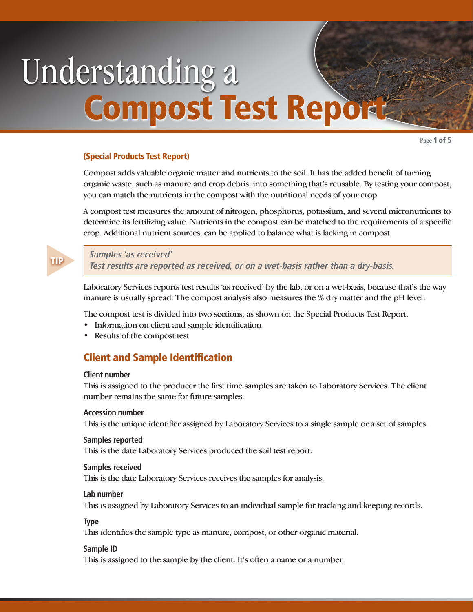# Understanding a Compost Test Report

Page 1 of 5

# (Special Products Test Report)

Compost adds valuable organic matter and nutrients to the soil. It has the added benefit of turning organic waste, such as manure and crop debris, into something that's reusable. By testing your compost, you can match the nutrients in the compost with the nutritional needs of your crop.

A compost test measures the amount of nitrogen, phosphorus, potassium, and several micronutrients to determine its fertilizing value. Nutrients in the compost can be matched to the requirements of a specific crop. Additional nutrient sources, can be applied to balance what is lacking in compost.

# **Samples 'as received'**

**Test results are reported as received, or on a wet-basis rather than a dry-basis.** 

Laboratory Services reports test results 'as received' by the lab, or on a wet-basis, because that's the way manure is usually spread. The compost analysis also measures the % dry matter and the pH level.

The compost test is divided into two sections, as shown on the Special Products Test Report.

- Information on client and sample identification
- Results of the compost test

# Client and Sample Identification

#### **Client number**

This is assigned to the producer the first time samples are taken to Laboratory Services. The client number remains the same for future samples.

#### **Accession number**

This is the unique identifier assigned by Laboratory Services to a single sample or a set of samples.

#### **Samples reported**

This is the date Laboratory Services produced the soil test report.

#### **Samples received**

This is the date Laboratory Services receives the samples for analysis.

#### **Lab number**

This is assigned by Laboratory Services to an individual sample for tracking and keeping records.

# **Type**

This identifies the sample type as manure, compost, or other organic material.

# **Sample ID**

This is assigned to the sample by the client. It's often a name or a number.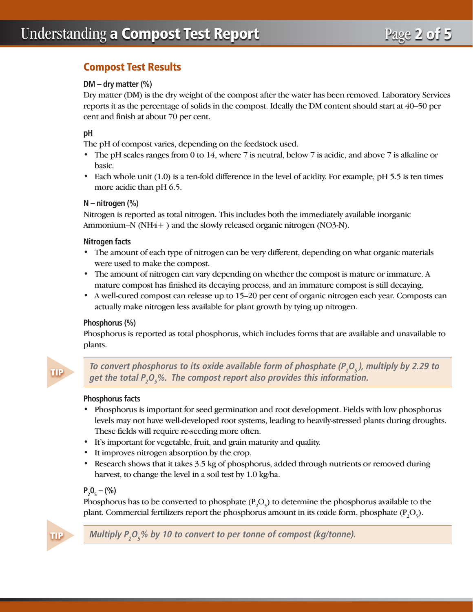# Compost Test Results

# **DM – dry matter (%)**

Dry matter (DM) is the dry weight of the compost after the water has been removed. Laboratory Services reports it as the percentage of solids in the compost. Ideally the DM content should start at 40–50 per cent and finish at about 70 per cent.

# **pH**

The pH of compost varies, depending on the feedstock used.

- The pH scales ranges from 0 to 14, where 7 is neutral, below 7 is acidic, and above 7 is alkaline or basic.
- Each whole unit (1.0) is a ten-fold difference in the level of acidity. For example, pH 5.5 is ten times more acidic than pH 6.5.

#### **N – nitrogen (%)**

Nitrogen is reported as total nitrogen. This includes both the immediately available inorganic Ammonium–N (NH4+ ) and the slowly released organic nitrogen (NO3-N).

#### **Nitrogen facts**

- The amount of each type of nitrogen can be very different, depending on what organic materials were used to make the compost.
- The amount of nitrogen can vary depending on whether the compost is mature or immature. A mature compost has finished its decaying process, and an immature compost is still decaying.
- A well-cured compost can release up to 15–20 per cent of organic nitrogen each year. Composts can actually make nitrogen less available for plant growth by tying up nitrogen.

#### **Phosphorus (%)**

Phosphorus is reported as total phosphorus, which includes forms that are available and unavailable to plants.

To convert phosphorus to its oxide available form of phosphate (P<sub>2</sub>O<sub>5</sub>), multiply by 2.29 to **get the total P<sup>2</sup> O5 %. The compost report also provides this information.**

#### **Phosphorus facts**

- Phosphorus is important for seed germination and root development. Fields with low phosphorus levels may not have well-developed root systems, leading to heavily-stressed plants during droughts. These fields will require re-seeding more often.
- It's important for vegetable, fruit, and grain maturity and quality.
- It improves nitrogen absorption by the crop.
- Research shows that it takes 3.5 kg of phosphorus, added through nutrients or removed during harvest, to change the level in a soil test by 1.0 kg/ha.

# $P_2O_5 - (%)$

Phosphorus has to be converted to phosphate  $(P_2O_5)$  to determine the phosphorus available to the plant. Commercial fertilizers report the phosphorus amount in its oxide form, phosphate  $(P_2O_5)$ .



**Multiply P<sup>2</sup> O5 % by 10 to convert to per tonne of compost (kg/tonne).**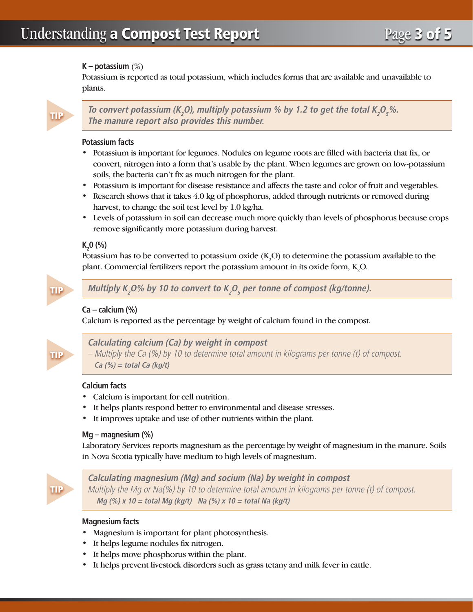# **K – potassium** (%)

Potassium is reported as total potassium, which includes forms that are available and unavailable to plants.

To convert potassium (K<sub>2</sub>O), multiply potassium % by 1.2 to get the total K<sub>2</sub>O<sub>5</sub>%. **The manure report also provides this number.**

# **Potassium facts**

- Potassium is important for legumes. Nodules on legume roots are filled with bacteria that fix, or convert, nitrogen into a form that's usable by the plant. When legumes are grown on low-potassium soils, the bacteria can't fix as much nitrogen for the plant.
- Potassium is important for disease resistance and affects the taste and color of fruit and vegetables.
- Research shows that it takes 4.0 kg of phosphorus, added through nutrients or removed during harvest, to change the soil test level by 1.0 kg/ha.
- Levels of potassium in soil can decrease much more quickly than levels of phosphorus because crops remove significantly more potassium during harvest.

# **K**<sub>2</sub>O (%)

Potassium has to be converted to potassium oxide  $(K_2O)$  to determine the potassium available to the plant. Commercial fertilizers report the potassium amount in its oxide form,  $K_2O$ .



Multiply K<sub>2</sub>O% by 10 to convert to K<sub>2</sub>O<sub>5</sub> per tonne of compost (kg/tonne).

# **Ca – calcium (%)**

Calcium is reported as the percentage by weight of calcium found in the compost.



**Calculating calcium (Ca) by weight in compost**

– Multiply the Ca (%) by 10 to determine total amount in kilograms per tonne (t) of compost. **Ca (%) = total Ca (kg/t)**

# **Calcium facts**

- Calcium is important for cell nutrition.
- It helps plants respond better to environmental and disease stresses.
- It improves uptake and use of other nutrients within the plant.

#### **Mg – magnesium (%)**

Laboratory Services reports magnesium as the percentage by weight of magnesium in the manure. Soils in Nova Scotia typically have medium to high levels of magnesium.

TIP

**Calculating magnesium (Mg) and socium (Na) by weight in compost** Multiply the Mg or Na(%) by 10 to determine total amount in kilograms per tonne (t) of compost. **Mg (%) x 10 = total Mg (kg/t) Na (%) x 10 = total Na (kg/t)**

# **Magnesium facts**

- Magnesium is important for plant photosynthesis.
- It helps legume nodules fix nitrogen.
- It helps move phosphorus within the plant.
- It helps prevent livestock disorders such as grass tetany and milk fever in cattle.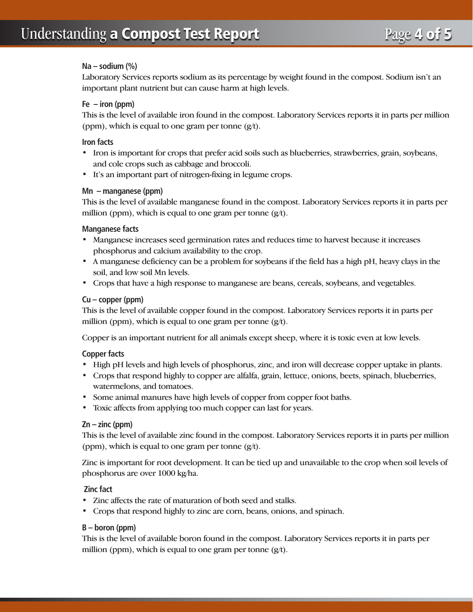# **Na – sodium (%)**

Laboratory Services reports sodium as its percentage by weight found in the compost. Sodium isn't an important plant nutrient but can cause harm at high levels.

# **Fe – iron (ppm)**

This is the level of available iron found in the compost. Laboratory Services reports it in parts per million (ppm), which is equal to one gram per tonne  $(g/t)$ .

# **Iron facts**

- Iron is important for crops that prefer acid soils such as blueberries, strawberries, grain, soybeans, and cole crops such as cabbage and broccoli.
- It's an important part of nitrogen-fixing in legume crops.

# **Mn – manganese (ppm)**

This is the level of available manganese found in the compost. Laboratory Services reports it in parts per million (ppm), which is equal to one gram per tonne  $(g/t)$ .

# **Manganese facts**

- Manganese increases seed germination rates and reduces time to harvest because it increases phosphorus and calcium availability to the crop.
- A manganese deficiency can be a problem for soybeans if the field has a high pH, heavy clays in the soil, and low soil Mn levels.
- Crops that have a high response to manganese are beans, cereals, soybeans, and vegetables.

# **Cu – copper (ppm)**

This is the level of available copper found in the compost. Laboratory Services reports it in parts per million (ppm), which is equal to one gram per tonne  $(g/t)$ .

Copper is an important nutrient for all animals except sheep, where it is toxic even at low levels.

# **Copper facts**

- High pH levels and high levels of phosphorus, zinc, and iron will decrease copper uptake in plants.
- Crops that respond highly to copper are alfalfa, grain, lettuce, onions, beets, spinach, blueberries, watermelons, and tomatoes.
- Some animal manures have high levels of copper from copper foot baths.
- Toxic affects from applying too much copper can last for years.

# **Zn – zinc (ppm)**

This is the level of available zinc found in the compost. Laboratory Services reports it in parts per million (ppm), which is equal to one gram per tonne (g/t).

Zinc is important for root development. It can be tied up and unavailable to the crop when soil levels of phosphorus are over 1000 kg/ha.

# **Zinc fact**

- Zinc affects the rate of maturation of both seed and stalks.
- Crops that respond highly to zinc are corn, beans, onions, and spinach.

# **B – boron (ppm)**

This is the level of available boron found in the compost. Laboratory Services reports it in parts per million (ppm), which is equal to one gram per tonne  $(g/t)$ .